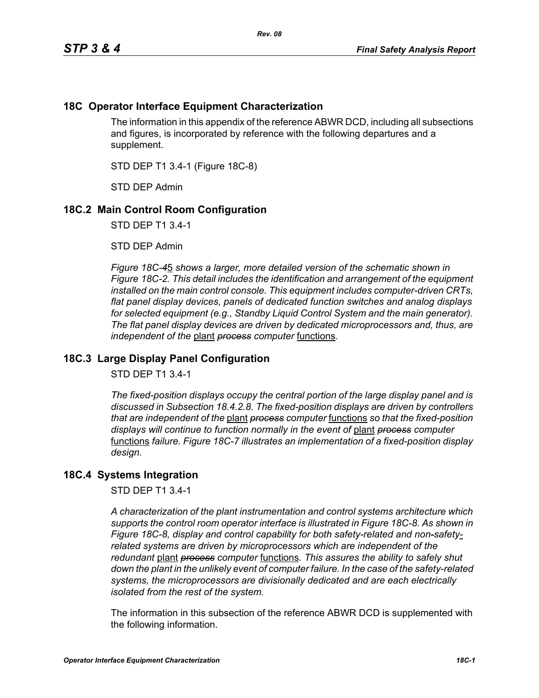## **18C Operator Interface Equipment Characterization**

The information in this appendix of the reference ABWR DCD, including all subsections and figures, is incorporated by reference with the following departures and a supplement.

STD DEP T1 3.4-1 (Figure 18C-8)

STD DEP Admin

## **18C.2 Main Control Room Configuration**

STD DEP T1 3.4-1

STD DEP Admin

*Figure 18C-4*5 *shows a larger, more detailed version of the schematic shown in Figure 18C-2. This detail includes the identification and arrangement of the equipment installed on the main control console. This equipment includes computer-driven CRTs, flat panel display devices, panels of dedicated function switches and analog displays for selected equipment (e.g., Standby Liquid Control System and the main generator). The flat panel display devices are driven by dedicated microprocessors and, thus, are independent of the* plant *process computer* functions*.*

## **18C.3 Large Display Panel Configuration**

STD DEP T1 3.4-1

*The fixed-position displays occupy the central portion of the large display panel and is discussed in Subsection 18.4.2.8. The fixed-position displays are driven by controllers that are independent of the* plant *process computer* functions *so that the fixed-position displays will continue to function normally in the event of* plant *process computer*  functions *failure. Figure 18C-7 illustrates an implementation of a fixed-position display design.*

## **18C.4 Systems Integration**

STD DEP T1 3.4-1

*A characterization of the plant instrumentation and control systems architecture which supports the control room operator interface is illustrated in Figure 18C-8. As shown in Figure 18C-8, display and control capability for both safety-related and non-safetyrelated systems are driven by microprocessors which are independent of the redundant* plant *process computer* functions*. This assures the ability to safely shut down the plant in the unlikely event of computer failure. In the case of the safety-related systems, the microprocessors are divisionally dedicated and are each electrically isolated from the rest of the system.*

The information in this subsection of the reference ABWR DCD is supplemented with the following information.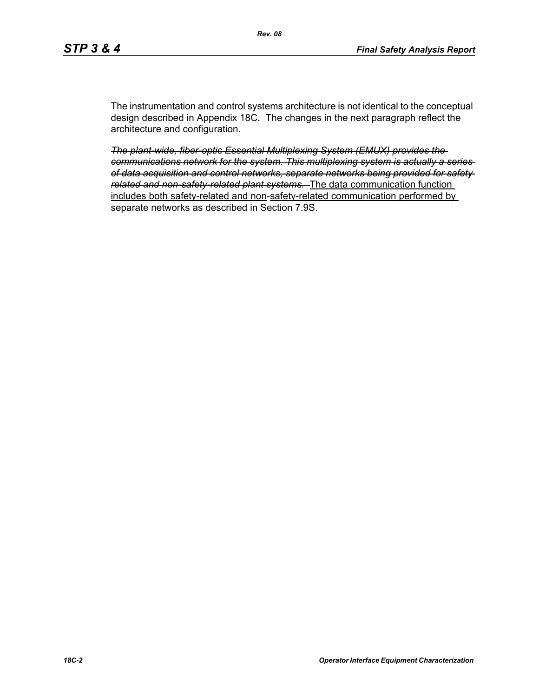The instrumentation and control systems architecture is not identical to the conceptual design described in Appendix 18C. The changes in the next paragraph reflect the architecture and configuration.

*The plant-wide, fiber-optic Essential Multiplexing System (EMUX) provides the communications network for the system. This multiplexing system is actually a series of data acquisition and control networks, separate networks being provided for safety related and non-safety-related plant systems.* The data communication function includes both safety-related and non-safety-related communication performed by separate networks as described in Section 7.9S.